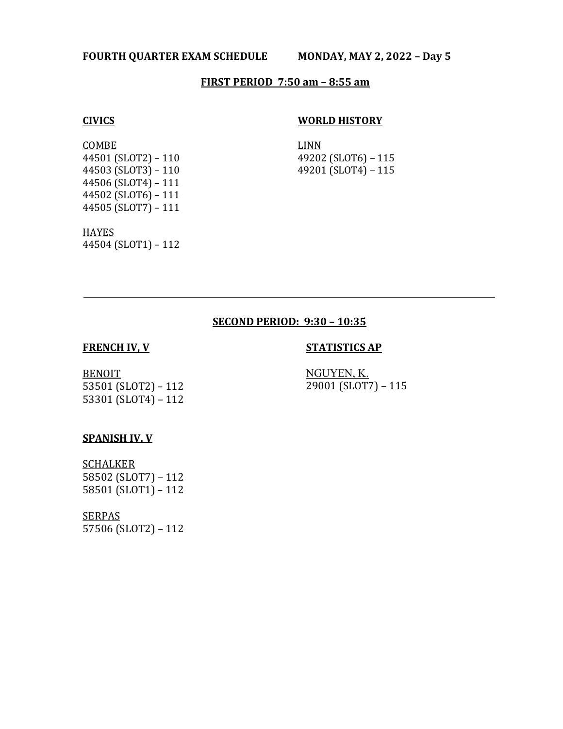### **FOURTH QUARTER EXAM SCHEDULE MONDAY, MAY 2, 2022 – Day 5**

### **FIRST PERIOD 7:50 am – 8:55 am**

# **CIVICS**

#### **WORLD HISTORY**

**COMBE** 44501 (SLOT2) – 110 44503 (SLOT3) – 110 44506 (SLOT4) – 111 44502 (SLOT6) – 111 44505 (SLOT7) – 111 LINN 49202 (SLOT6) – 115 49201 (SLOT4) – 115

**HAYES** 44504 (SLOT1) – 112

#### **SECOND PERIOD: 9:30 – 10:35**

#### **FRENCH IV, V**

#### **STATISTICS AP**

BENOIT 53501 (SLOT2) – 112 53301 (SLOT4) – 112

NGUYEN, K. 29001 (SLOT7) – 115

#### **SPANISH IV, V**

**SCHALKER** 58502 (SLOT7) – 112 58501 (SLOT1) – 112

**SERPAS** 57506 (SLOT2) – 112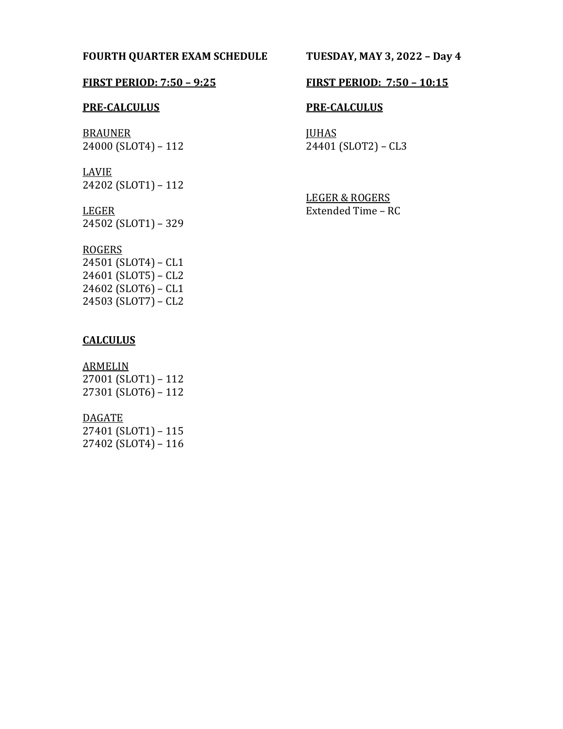## **FOURTH QUARTER EXAM SCHEDULE TUESDAY, MAY 3, 2022 – Day 4**

#### **PRE-CALCULUS**

BRAUNER 24000 (SLOT4) – 112

LAVIE 24202 (SLOT1) – 112

#### LEGER

24502 (SLOT1) – 329

# ROGERS

24501 (SLOT4) – CL1 24601 (SLOT5) – CL2 24602 (SLOT6) – CL1 24503 (SLOT7) – CL2

# **CALCULUS**

**ARMELIN** 27001 (SLOT1) – 112 27301 (SLOT6) – 112

#### DAGATE

27401 (SLOT1) – 115 27402 (SLOT4) – 116

# **FIRST PERIOD: 7:50 – 9:25 FIRST PERIOD: 7:50 – 10:15**

### **PRE-CALCULUS**

**JUHAS** 24401 (SLOT2) – CL3

LEGER & ROGERS Extended Time – RC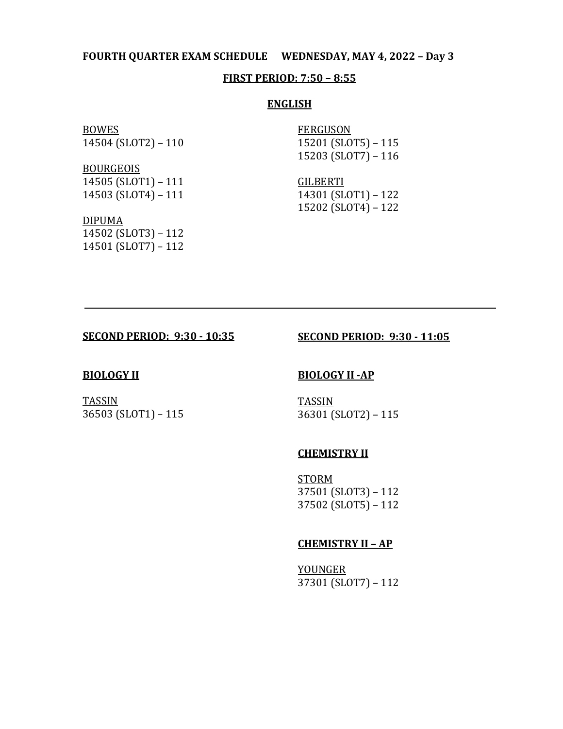### **FOURTH QUARTER EXAM SCHEDULE WEDNESDAY, MAY 4, 2022 – Day 3**

#### **FIRST PERIOD: 7:50 – 8:55**

#### **ENGLISH**

BOWES 14504 (SLOT2) – 110

BOURGEOIS 14505 (SLOT1) – 111 14503 (SLOT4) – 111

FERGUSON 15201 (SLOT5) – 115 15203 (SLOT7) – 116

GILBERTI 14301 (SLOT1) – 122 15202 (SLOT4) – 122

DIPUMA 14502 (SLOT3) – 112 14501 (SLOT7) – 112

### **SECOND PERIOD: 9:30 - 10:35**

# **SECOND PERIOD: 9:30 - 11:05**

#### **BIOLOGY II**

36503 (SLOT1) – 115

TASSIN

#### **BIOLOGY II -AP**

**TASSIN** 36301 (SLOT2) – 115

#### **CHEMISTRY II**

STORM 37501 (SLOT3) – 112 37502 (SLOT5) – 112

#### **CHEMISTRY II – AP**

YOUNGER 37301 (SLOT7) – 112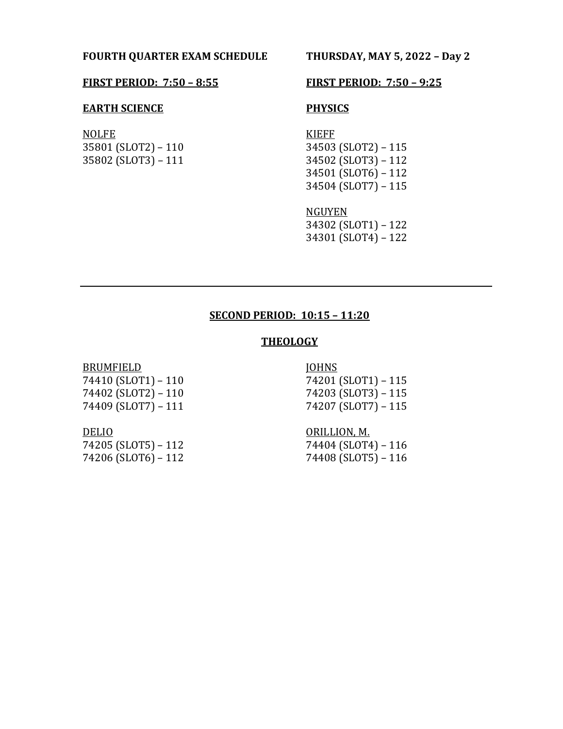## **FOURTH QUARTER EXAM SCHEDULE THURSDAY, MAY 5, 2022 – Day 2**

#### **FIRST PERIOD: 7:50 – 8:55 FIRST PERIOD: 7:50 – 9:25**

#### **EARTH SCIENCE**

NOLFE 35801 (SLOT2) – 110 35802 (SLOT3) – 111

# **PHYSICS**

KIEFF 34503 (SLOT2) – 115 34502 (SLOT3) – 112 34501 (SLOT6) – 112 34504 (SLOT7) – 115

NGUYEN 34302 (SLOT1) – 122 34301 (SLOT4) – 122

# **SECOND PERIOD: 10:15 – 11:20**

# **THEOLOGY**

# **BRUMFIELD** 74410 (SLOT1) – 110 74402 (SLOT2) – 110

74409 (SLOT7) – 111

### JOHNS 74201 (SLOT1) – 115

74203 (SLOT3) – 115 74207 (SLOT7) – 115

#### DELIO

74205 (SLOT5) – 112 74206 (SLOT6) – 112 ORILLION, M. 74404 (SLOT4) – 116 74408 (SLOT5) – 116